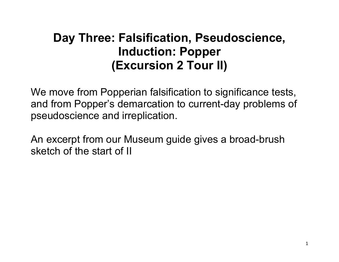# **Day Three: Falsification, Pseudoscience, Induction: Popper (Excursion 2 Tour II)**

We move from Popperian falsification to significance tests, and from Popper's demarcation to current-day problems of pseudoscience and irreplication.

An excerpt from our Museum guide gives a broad-brush sketch of the start of II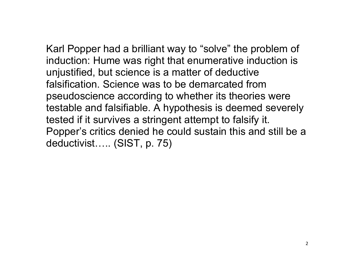Karl Popper had a brilliant way to "solve" the problem of induction: Hume was right that enumerative induction is unjustified, but science is a matter of deductive falsification. Science was to be demarcated from pseudoscience according to whether its theories were testable and falsifiable. A hypothesis is deemed severely tested if it survives a stringent attempt to falsify it. Popper's critics denied he could sustain this and still be a deductivist….. (SIST, p. 75)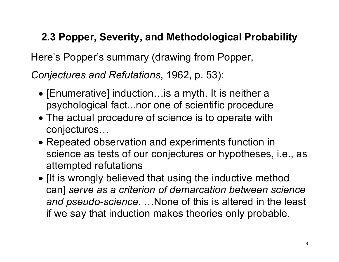### **2.3 Popper, Severity, and Methodological Probability**

Here's Popper's summary (drawing from Popper,

*Conjectures and Refutations*, 1962, p. 53):

- [Enumerative] induction…is a myth. It is neither a psychological fact...nor one of scientific procedure
- The actual procedure of science is to operate with conjectures…
- Repeated observation and experiments function in science as tests of our conjectures or hypotheses, i.e., as attempted refutations
- [It is wrongly believed that using the inductive method can] *serve as a criterion of demarcation between science and pseudo-science*. …None of this is altered in the least if we say that induction makes theories only probable.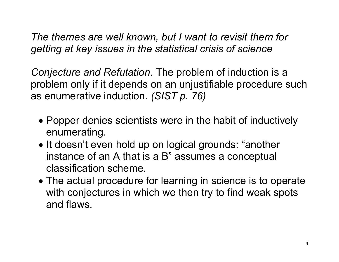*The themes are well known, but I want to revisit them for getting at key issues in the statistical crisis of science*

*Conjecture and Refutation*. The problem of induction is a problem only if it depends on an unjustifiable procedure such as enumerative induction. *(SIST p. 76)*

- Popper denies scientists were in the habit of inductively enumerating.
- It doesn't even hold up on logical grounds: "another instance of an A that is a B" assumes a conceptual classification scheme.
- The actual procedure for learning in science is to operate with conjectures in which we then try to find weak spots and flaws.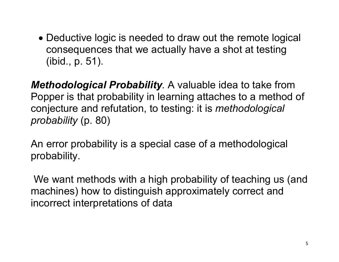• Deductive logic is needed to draw out the remote logical consequences that we actually have a shot at testing (ibid., p. 51).

*Methodological Probability.* A valuable idea to take from Popper is that probability in learning attaches to a method of conjecture and refutation, to testing: it is *methodological probability* (p. 80)

An error probability is a special case of a methodological probability.

We want methods with a high probability of teaching us (and machines) how to distinguish approximately correct and incorrect interpretations of data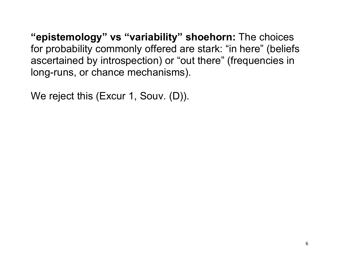**"epistemology" vs "variability" shoehorn:** The choices for probability commonly offered are stark: "in here" (beliefs ascertained by introspection) or "out there" (frequencies in long-runs, or chance mechanisms).

We reject this (Excur 1, Souv. (D)).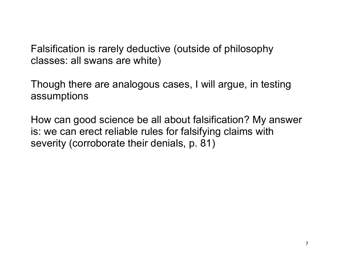Falsification is rarely deductive (outside of philosophy classes: all swans are white)

Though there are analogous cases, I will argue, in testing assumptions

How can good science be all about falsification? My answer is: we can erect reliable rules for falsifying claims with severity (corroborate their denials, p. 81)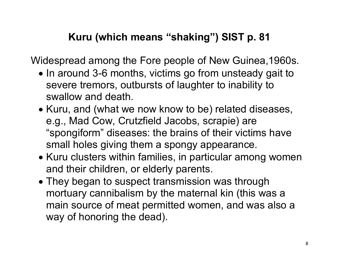### **Kuru (which means "shaking") SIST p. 81**

Widespread among the Fore people of New Guinea,1960s.

- In around 3-6 months, victims go from unsteady gait to severe tremors, outbursts of laughter to inability to swallow and death.
- Kuru, and (what we now know to be) related diseases, e.g., Mad Cow, Crutzfield Jacobs, scrapie) are "spongiform" diseases: the brains of their victims have small holes giving them a spongy appearance.
- Kuru clusters within families, in particular among women and their children, or elderly parents.
- They began to suspect transmission was through mortuary cannibalism by the maternal kin (this was a main source of meat permitted women, and was also a way of honoring the dead).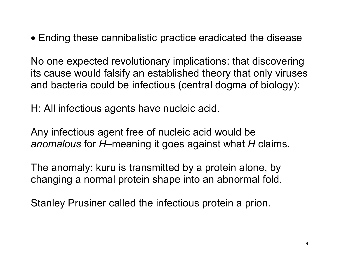• Ending these cannibalistic practice eradicated the disease

No one expected revolutionary implications: that discovering its cause would falsify an established theory that only viruses and bacteria could be infectious (central dogma of biology):

H: All infectious agents have nucleic acid.

Any infectious agent free of nucleic acid would be *anomalous* for *H–*meaning it goes against what *H* claims.

The anomaly: kuru is transmitted by a protein alone, by changing a normal protein shape into an abnormal fold.

Stanley Prusiner called the infectious protein a prion.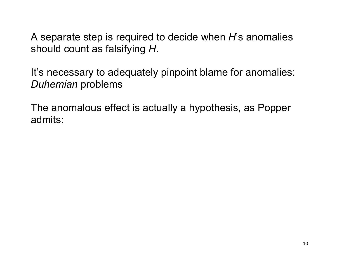A separate step is required to decide when *H*'s anomalies should count as falsifying *H*.

It's necessary to adequately pinpoint blame for anomalies: *Duhemian* problems

The anomalous effect is actually a hypothesis, as Popper admits: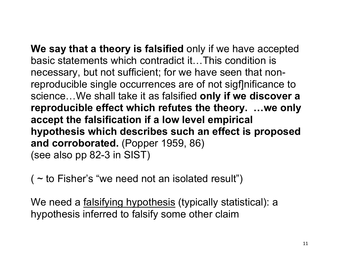**We say that a theory is falsified** only if we have accepted basic statements which contradict it…This condition is necessary, but not sufficient; for we have seen that nonreproducible single occurrences are of not sigf nificance to science…We shall take it as falsified **only if we discover a reproducible effect which refutes the theory. …we only accept the falsification if a low level empirical hypothesis which describes such an effect is proposed and corroborated.** (Popper 1959, 86) (see also pp 82-3 in SIST)

( $\sim$  to Fisher's "we need not an isolated result")

We need a falsifying hypothesis (typically statistical): a hypothesis inferred to falsify some other claim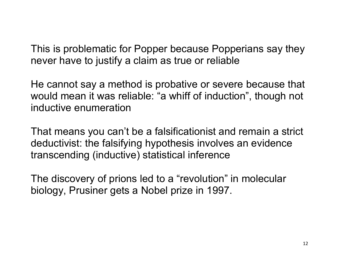This is problematic for Popper because Popperians say they never have to justify a claim as true or reliable

He cannot say a method is probative or severe because that would mean it was reliable: "a whiff of induction", though not inductive enumeration

That means you can't be a falsificationist and remain a strict deductivist: the falsifying hypothesis involves an evidence transcending (inductive) statistical inference

The discovery of prions led to a "revolution" in molecular biology, Prusiner gets a Nobel prize in 1997.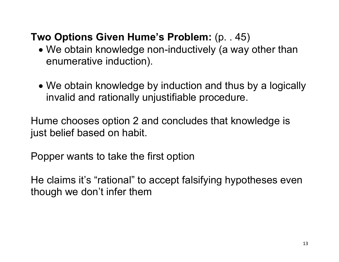### **Two Options Given Hume's Problem:** (p. . 45)

- We obtain knowledge non-inductively (a way other than enumerative induction).
- We obtain knowledge by induction and thus by a logically invalid and rationally unjustifiable procedure.

Hume chooses option 2 and concludes that knowledge is just belief based on habit.

Popper wants to take the first option

He claims it's "rational" to accept falsifying hypotheses even though we don't infer them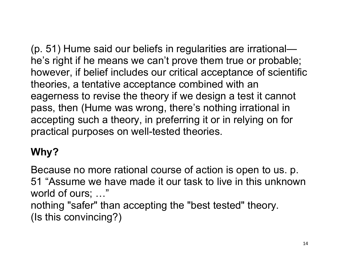(p. 51) Hume said our beliefs in regularities are irrational he's right if he means we can't prove them true or probable; however, if belief includes our critical acceptance of scientific theories, a tentative acceptance combined with an eagerness to revise the theory if we design a test it cannot pass, then (Hume was wrong, there's nothing irrational in accepting such a theory, in preferring it or in relying on for practical purposes on well-tested theories.

# **Why?**

Because no more rational course of action is open to us. p. 51 "Assume we have made it our task to live in this unknown world of ours; …" nothing "safer" than accepting the "best tested" theory. (Is this convincing?)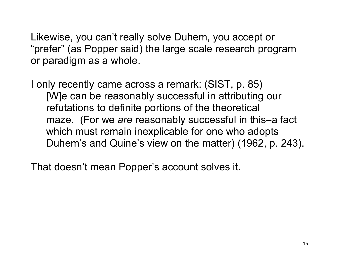Likewise, you can't really solve Duhem, you accept or "prefer" (as Popper said) the large scale research program or paradigm as a whole.

I only recently came across a remark: (SIST, p. 85) [W]e can be reasonably successful in attributing our refutations to definite portions of the theoretical maze. (For we *are* reasonably successful in this–a fact which must remain inexplicable for one who adopts Duhem's and Quine's view on the matter) (1962, p. 243).

That doesn't mean Popper's account solves it.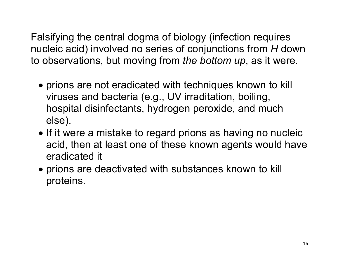Falsifying the central dogma of biology (infection requires nucleic acid) involved no series of conjunctions from *H* down to observations, but moving from *the bottom up*, as it were.

- prions are not eradicated with techniques known to kill viruses and bacteria (e.g., UV irraditation, boiling, hospital disinfectants, hydrogen peroxide, and much else).
- If it were a mistake to regard prions as having no nucleic acid, then at least one of these known agents would have eradicated it
- prions are deactivated with substances known to kill proteins.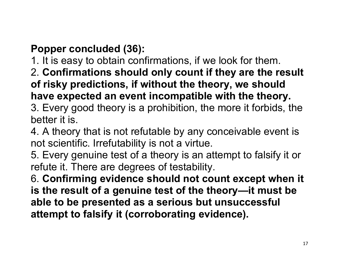## **Popper concluded (36):**

- 1. It is easy to obtain confirmations, if we look for them.
- 2. **Confirmations should only count if they are the result of risky predictions, if without the theory, we should have expected an event incompatible with the theory.**
- 3. Every good theory is a prohibition, the more it forbids, the better it is.
- 4. A theory that is not refutable by any conceivable event is not scientific. Irrefutability is not a virtue.
- 5. Every genuine test of a theory is an attempt to falsify it or refute it. There are degrees of testability.
- 6. **Confirming evidence should not count except when it is the result of a genuine test of the theory—it must be able to be presented as a serious but unsuccessful attempt to falsify it (corroborating evidence).**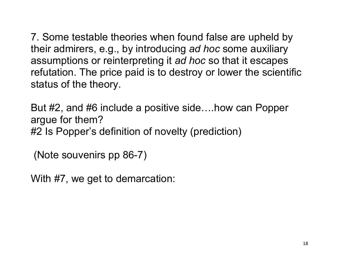7. Some testable theories when found false are upheld by their admirers, e.g., by introducing *ad hoc* some auxiliary assumptions or reinterpreting it *ad hoc* so that it escapes refutation. The price paid is to destroy or lower the scientific status of the theory.

But #2, and #6 include a positive side….how can Popper argue for them? #2 Is Popper's definition of novelty (prediction)

(Note souvenirs pp 86-7)

With #7, we get to demarcation: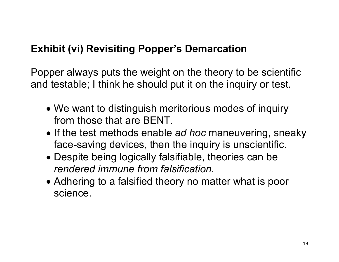#### **Exhibit (vi) Revisiting Popper's Demarcation**

Popper always puts the weight on the theory to be scientific and testable; I think he should put it on the inquiry or test.

- We want to distinguish meritorious modes of inquiry from those that are BENT.
- If the test methods enable *ad hoc* maneuvering, sneaky face-saving devices, then the inquiry is unscientific.
- Despite being logically falsifiable, theories can be *rendered immune from falsification*.
- Adhering to a falsified theory no matter what is poor science.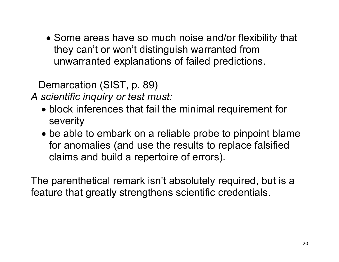• Some areas have so much noise and/or flexibility that they can't or won't distinguish warranted from unwarranted explanations of failed predictions.

Demarcation (SIST, p. 89)

*A scientific inquiry or test must:*

- block inferences that fail the minimal requirement for severity
- be able to embark on a reliable probe to pinpoint blame for anomalies (and use the results to replace falsified claims and build a repertoire of errors).

The parenthetical remark isn't absolutely required, but is a feature that greatly strengthens scientific credentials.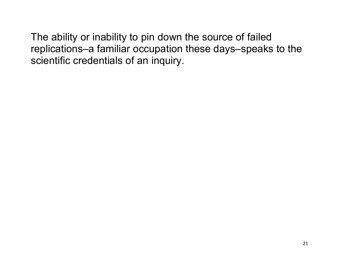The ability or inability to pin down the source of failed replications–a familiar occupation these days–speaks to the scientific credentials of an inquiry.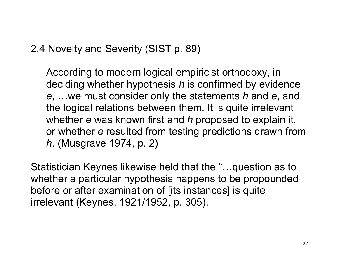2.4 Novelty and Severity (SIST p. 89)

According to modern logical empiricist orthodoxy, in deciding whether hypothesis *h* is confirmed by evidence *e*, …we must consider only the statements *h* and *e*, and the logical relations between them. It is quite irrelevant whether *e* was known first and *h* proposed to explain it, or whether *e* resulted from testing predictions drawn from *h*. (Musgrave 1974, p. 2)

Statistician Keynes likewise held that the "…question as to whether a particular hypothesis happens to be propounded before or after examination of [its instances] is quite irrelevant (Keynes, 1921/1952, p. 305).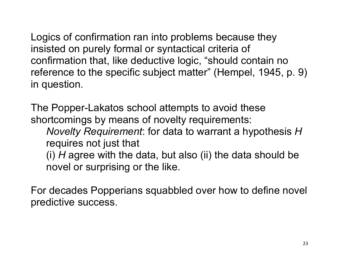Logics of confirmation ran into problems because they insisted on purely formal or syntactical criteria of confirmation that, like deductive logic, "should contain no reference to the specific subject matter" (Hempel, 1945, p. 9) in question.

The Popper-Lakatos school attempts to avoid these shortcomings by means of novelty requirements: *Novelty Requirement*: for data to warrant a hypothesis *H* requires not just that (i) *H* agree with the data, but also (ii) the data should be novel or surprising or the like.

For decades Popperians squabbled over how to define novel predictive success.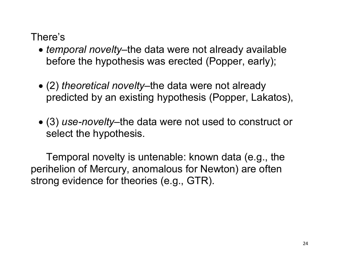#### There's

- *temporal novelty*–the data were not already available before the hypothesis was erected (Popper, early);
- (2) *theoretical novelty*–the data were not already predicted by an existing hypothesis (Popper, Lakatos),
- (3) *use-novelty–*the data were not used to construct or select the hypothesis.

Temporal novelty is untenable: known data (e.g., the perihelion of Mercury, anomalous for Newton) are often strong evidence for theories (e.g., GTR).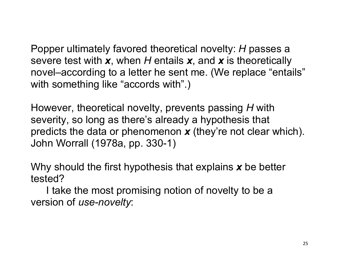Popper ultimately favored theoretical novelty: *H* passes a severe test with *x*, when *H* entails *x*, and *x* is theoretically novel–according to a letter he sent me. (We replace "entails" with something like "accords with".)

However, theoretical novelty, prevents passing *H* with severity, so long as there's already a hypothesis that predicts the data or phenomenon *x* (they're not clear which). John Worrall (1978a, pp. 330-1)

Why should the first hypothesis that explains *x* be better tested?

I take the most promising notion of novelty to be a version of *use-novelty*: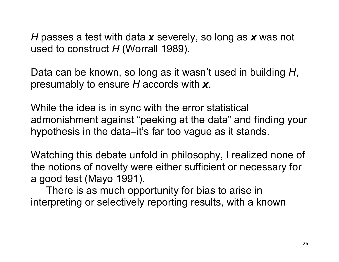*H* passes a test with data *x* severely, so long as *x* was not used to construct *H* (Worrall 1989).

Data can be known, so long as it wasn't used in building *H*, presumably to ensure *H* accords with *x*.

While the idea is in sync with the error statistical admonishment against "peeking at the data" and finding your hypothesis in the data–it's far too vague as it stands.

Watching this debate unfold in philosophy, I realized none of the notions of novelty were either sufficient or necessary for a good test (Mayo 1991).

There is as much opportunity for bias to arise in interpreting or selectively reporting results, with a known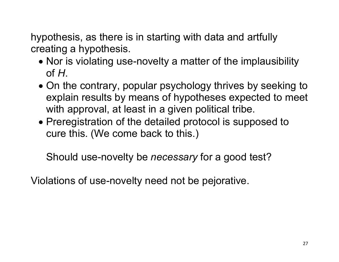hypothesis, as there is in starting with data and artfully creating a hypothesis.

- Nor is violating use-novelty a matter of the implausibility of *H*.
- On the contrary, popular psychology thrives by seeking to explain results by means of hypotheses expected to meet with approval, at least in a given political tribe.
- Preregistration of the detailed protocol is supposed to cure this. (We come back to this.)

Should use-novelty be *necessary* for a good test?

Violations of use-novelty need not be pejorative.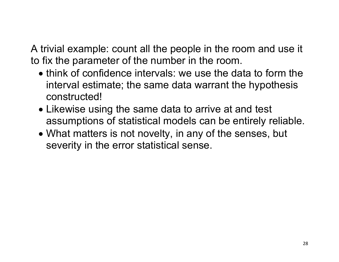A trivial example: count all the people in the room and use it to fix the parameter of the number in the room.

- think of confidence intervals: we use the data to form the interval estimate; the same data warrant the hypothesis constructed!
- Likewise using the same data to arrive at and test assumptions of statistical models can be entirely reliable.
- What matters is not novelty, in any of the senses, but severity in the error statistical sense.